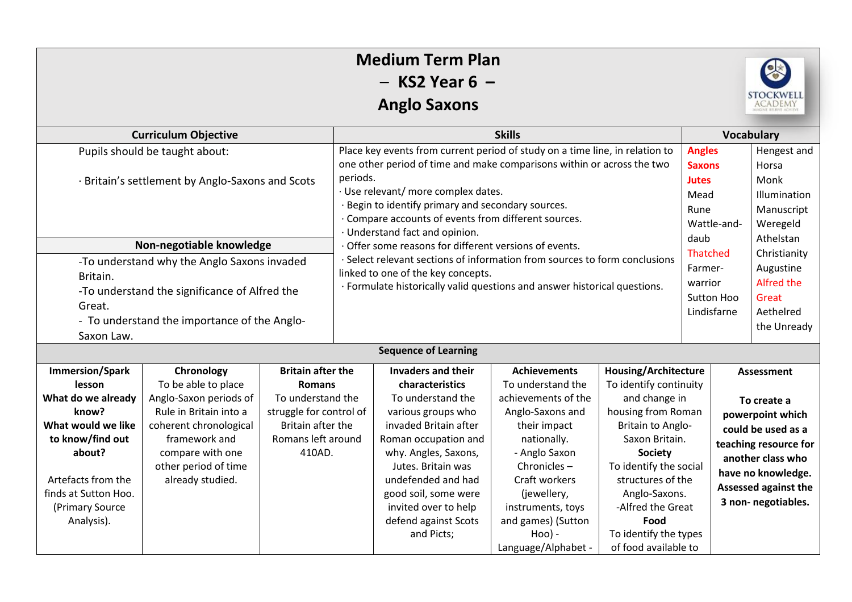| <b>Medium Term Plan</b><br>$-$ KS2 Year 6 $-$<br><b>STOCKWELI</b><br><b>Anglo Saxons</b><br><b>ACADEMY</b>                                                                                         |                                                                                                                                                                                                  |                                                                                                                                                |                                                                                                                                                                                                                                                                                                                                                                                                                                                                                                                                                                                                                    |                                                                                                                                                                                                                                                                                                    |                                                                                                                                                                                                                                                                |                                                                                                                                                                                                                                                                                                     |                                                                                                                                                                                               |            |                                                                                     |  |  |  |
|----------------------------------------------------------------------------------------------------------------------------------------------------------------------------------------------------|--------------------------------------------------------------------------------------------------------------------------------------------------------------------------------------------------|------------------------------------------------------------------------------------------------------------------------------------------------|--------------------------------------------------------------------------------------------------------------------------------------------------------------------------------------------------------------------------------------------------------------------------------------------------------------------------------------------------------------------------------------------------------------------------------------------------------------------------------------------------------------------------------------------------------------------------------------------------------------------|----------------------------------------------------------------------------------------------------------------------------------------------------------------------------------------------------------------------------------------------------------------------------------------------------|----------------------------------------------------------------------------------------------------------------------------------------------------------------------------------------------------------------------------------------------------------------|-----------------------------------------------------------------------------------------------------------------------------------------------------------------------------------------------------------------------------------------------------------------------------------------------------|-----------------------------------------------------------------------------------------------------------------------------------------------------------------------------------------------|------------|-------------------------------------------------------------------------------------|--|--|--|
| <b>Curriculum Objective</b>                                                                                                                                                                        |                                                                                                                                                                                                  |                                                                                                                                                | <b>Skills</b>                                                                                                                                                                                                                                                                                                                                                                                                                                                                                                                                                                                                      |                                                                                                                                                                                                                                                                                                    |                                                                                                                                                                                                                                                                |                                                                                                                                                                                                                                                                                                     | <b>Vocabulary</b>                                                                                                                                                                             |            |                                                                                     |  |  |  |
| Pupils should be taught about:<br>· Britain's settlement by Anglo-Saxons and Scots                                                                                                                 |                                                                                                                                                                                                  |                                                                                                                                                | Place key events from current period of study on a time line, in relation to<br>one other period of time and make comparisons within or across the two<br>periods.<br>· Use relevant/ more complex dates.<br>· Begin to identify primary and secondary sources.<br>· Compare accounts of events from different sources.<br>· Understand fact and opinion.<br>Offer some reasons for different versions of events.<br>· Select relevant sections of information from sources to form conclusions<br>linked to one of the key concepts.<br>· Formulate historically valid questions and answer historical questions. |                                                                                                                                                                                                                                                                                                    |                                                                                                                                                                                                                                                                |                                                                                                                                                                                                                                                                                                     | <b>Angles</b><br><b>Saxons</b><br><b>Jutes</b><br>Mead<br>Rune<br>Wattle-and-                                                                                                                 |            | Hengest and<br>Horsa<br>Monk<br>Illumination<br>Manuscript<br>Weregeld              |  |  |  |
| Non-negotiable knowledge                                                                                                                                                                           |                                                                                                                                                                                                  |                                                                                                                                                |                                                                                                                                                                                                                                                                                                                                                                                                                                                                                                                                                                                                                    |                                                                                                                                                                                                                                                                                                    |                                                                                                                                                                                                                                                                |                                                                                                                                                                                                                                                                                                     | daub                                                                                                                                                                                          |            | Athelstan                                                                           |  |  |  |
| -To understand why the Anglo Saxons invaded<br>Britain.<br>-To understand the significance of Alfred the<br>Great.<br>- To understand the importance of the Anglo-<br>Saxon Law.                   |                                                                                                                                                                                                  |                                                                                                                                                |                                                                                                                                                                                                                                                                                                                                                                                                                                                                                                                                                                                                                    |                                                                                                                                                                                                                                                                                                    |                                                                                                                                                                                                                                                                |                                                                                                                                                                                                                                                                                                     | <b>Thatched</b><br>Farmer-<br>warrior<br>Lindisfarne                                                                                                                                          | Sutton Hoo | Christianity<br>Augustine<br><b>Alfred the</b><br>Great<br>Aethelred<br>the Unready |  |  |  |
|                                                                                                                                                                                                    |                                                                                                                                                                                                  |                                                                                                                                                |                                                                                                                                                                                                                                                                                                                                                                                                                                                                                                                                                                                                                    | <b>Sequence of Learning</b>                                                                                                                                                                                                                                                                        |                                                                                                                                                                                                                                                                |                                                                                                                                                                                                                                                                                                     |                                                                                                                                                                                               |            |                                                                                     |  |  |  |
| <b>Immersion/Spark</b><br>lesson<br>What do we already<br>know?<br>What would we like<br>to know/find out<br>about?<br>Artefacts from the<br>finds at Sutton Hoo.<br>(Primary Source<br>Analysis). | Chronology<br>To be able to place<br>Anglo-Saxon periods of<br>Rule in Britain into a<br>coherent chronological<br>framework and<br>compare with one<br>other period of time<br>already studied. | <b>Britain after the</b><br><b>Romans</b><br>To understand the<br>struggle for control of<br>Britain after the<br>Romans left around<br>410AD. |                                                                                                                                                                                                                                                                                                                                                                                                                                                                                                                                                                                                                    | <b>Invaders and their</b><br>characteristics<br>To understand the<br>various groups who<br>invaded Britain after<br>Roman occupation and<br>why. Angles, Saxons,<br>Jutes. Britain was<br>undefended and had<br>good soil, some were<br>invited over to help<br>defend against Scots<br>and Picts; | <b>Achievements</b><br>To understand the<br>achievements of the<br>Anglo-Saxons and<br>their impact<br>nationally.<br>- Anglo Saxon<br>Chronicles-<br>Craft workers<br>(jewellery,<br>instruments, toys<br>and games) (Sutton<br>Hoo) -<br>Language/Alphabet - | <b>Housing/Architecture</b><br>To identify continuity<br>and change in<br>housing from Roman<br>Britain to Anglo-<br>Saxon Britain.<br><b>Society</b><br>To identify the social<br>structures of the<br>Anglo-Saxons.<br>-Alfred the Great<br>Food<br>To identify the types<br>of food available to | Assessment<br>To create a<br>powerpoint which<br>could be used as a<br>teaching resource for<br>another class who<br>have no knowledge.<br><b>Assessed against the</b><br>3 non- negotiables. |            |                                                                                     |  |  |  |